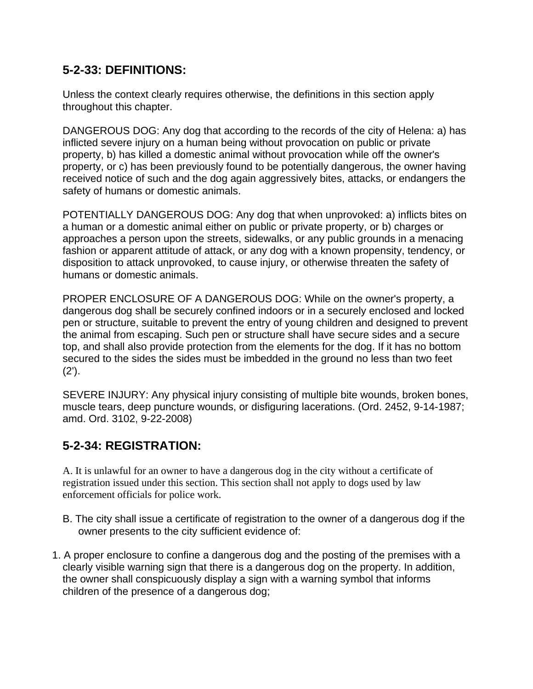## **5-2-33: DEFINITIONS:**

Unless the context clearly requires otherwise, the definitions in this section apply throughout this chapter.

DANGEROUS DOG: Any dog that according to the records of the city of Helena: a) has inflicted severe injury on a human being without provocation on public or private property, b) has killed a domestic animal without provocation while off the owner's property, or c) has been previously found to be potentially dangerous, the owner having received notice of such and the dog again aggressively bites, attacks, or endangers the safety of humans or domestic animals.

POTENTIALLY DANGEROUS DOG: Any dog that when unprovoked: a) inflicts bites on a human or a domestic animal either on public or private property, or b) charges or approaches a person upon the streets, sidewalks, or any public grounds in a menacing fashion or apparent attitude of attack, or any dog with a known propensity, tendency, or disposition to attack unprovoked, to cause injury, or otherwise threaten the safety of humans or domestic animals.

PROPER ENCLOSURE OF A DANGEROUS DOG: While on the owner's property, a dangerous dog shall be securely confined indoors or in a securely enclosed and locked pen or structure, suitable to prevent the entry of young children and designed to prevent the animal from escaping. Such pen or structure shall have secure sides and a secure top, and shall also provide protection from the elements for the dog. If it has no bottom secured to the sides the sides must be imbedded in the ground no less than two feet  $(2')$ .

SEVERE INJURY: Any physical injury consisting of multiple bite wounds, broken bones, muscle tears, deep puncture wounds, or disfiguring lacerations. (Ord. 2452, 9-14-1987; amd. Ord. 3102, 9-22-2008)

## **5-2-34: REGISTRATION:**

A. It is unlawful for an owner to have a dangerous dog in the city without a certificate of registration issued under this section. This section shall not apply to dogs used by law enforcement officials for police work.

- B. The city shall issue a certificate of registration to the owner of a dangerous dog if the owner presents to the city sufficient evidence of:
- 1. A proper enclosure to confine a dangerous dog and the posting of the premises with a clearly visible warning sign that there is a dangerous dog on the property. In addition, the owner shall conspicuously display a sign with a warning symbol that informs children of the presence of a dangerous dog;